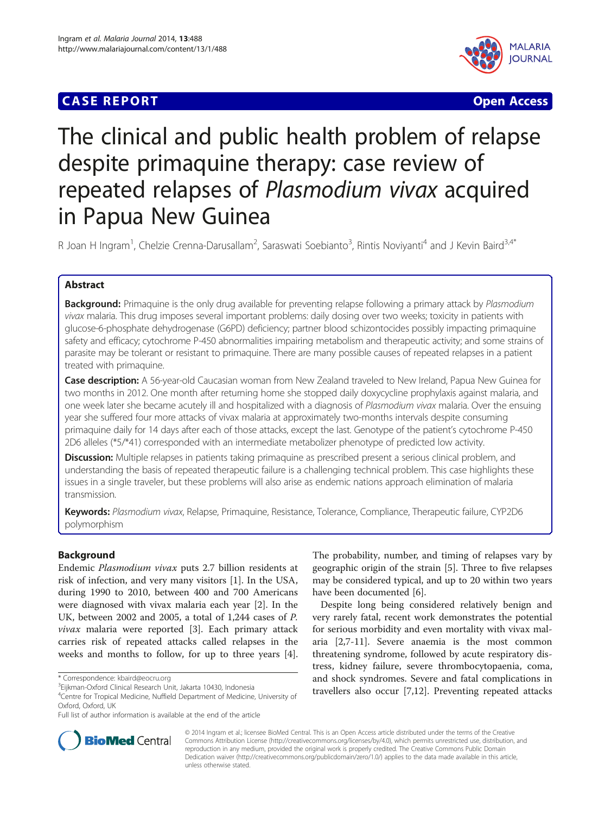# **CASE REPORT CASE ACCESS**



# The clinical and public health problem of relapse despite primaquine therapy: case review of repeated relapses of Plasmodium vivax acquired in Papua New Guinea

R Joan H Ingram<sup>1</sup>, Chelzie Crenna-Darusallam<sup>2</sup>, Saraswati Soebianto<sup>3</sup>, Rintis Noviyanti<sup>4</sup> and J Kevin Baird<sup>3,4\*</sup>

# Abstract

**Background:** Primaquine is the only drug available for preventing relapse following a primary attack by Plasmodium vivax malaria. This drug imposes several important problems: daily dosing over two weeks; toxicity in patients with glucose-6-phosphate dehydrogenase (G6PD) deficiency; partner blood schizontocides possibly impacting primaquine safety and efficacy; cytochrome P-450 abnormalities impairing metabolism and therapeutic activity; and some strains of parasite may be tolerant or resistant to primaquine. There are many possible causes of repeated relapses in a patient treated with primaquine.

Case description: A 56-year-old Caucasian woman from New Zealand traveled to New Ireland, Papua New Guinea for two months in 2012. One month after returning home she stopped daily doxycycline prophylaxis against malaria, and one week later she became acutely ill and hospitalized with a diagnosis of Plasmodium vivax malaria. Over the ensuing year she suffered four more attacks of vivax malaria at approximately two-months intervals despite consuming primaquine daily for 14 days after each of those attacks, except the last. Genotype of the patient's cytochrome P-450 2D6 alleles (\*5/\*41) corresponded with an intermediate metabolizer phenotype of predicted low activity.

**Discussion:** Multiple relapses in patients taking primaquine as prescribed present a serious clinical problem, and understanding the basis of repeated therapeutic failure is a challenging technical problem. This case highlights these issues in a single traveler, but these problems will also arise as endemic nations approach elimination of malaria transmission.

Keywords: Plasmodium vivax, Relapse, Primaquine, Resistance, Tolerance, Compliance, Therapeutic failure, CYP2D6 polymorphism

# Background

Endemic Plasmodium vivax puts 2.7 billion residents at risk of infection, and very many visitors [\[1](#page-5-0)]. In the USA, during 1990 to 2010, between 400 and 700 Americans were diagnosed with vivax malaria each year [\[2\]](#page-5-0). In the UK, between 2002 and 2005, a total of 1,244 cases of P. vivax malaria were reported [[3\]](#page-5-0). Each primary attack carries risk of repeated attacks called relapses in the weeks and months to follow, for up to three years [\[4](#page-5-0)].

The probability, number, and timing of relapses vary by geographic origin of the strain [\[5](#page-5-0)]. Three to five relapses may be considered typical, and up to 20 within two years have been documented [\[6](#page-5-0)].

Despite long being considered relatively benign and very rarely fatal, recent work demonstrates the potential for serious morbidity and even mortality with vivax malaria [[2,7-11](#page-5-0)]. Severe anaemia is the most common threatening syndrome, followed by acute respiratory distress, kidney failure, severe thrombocytopaenia, coma, and shock syndromes. Severe and fatal complications in travellers also occur [[7](#page-5-0),[12](#page-5-0)]. Preventing repeated attacks



© 2014 Ingram et al.; licensee BioMed Central. This is an Open Access article distributed under the terms of the Creative Commons Attribution License [\(http://creativecommons.org/licenses/by/4.0\)](http://creativecommons.org/licenses/by/4.0), which permits unrestricted use, distribution, and reproduction in any medium, provided the original work is properly credited. The Creative Commons Public Domain Dedication waiver [\(http://creativecommons.org/publicdomain/zero/1.0/](http://creativecommons.org/publicdomain/zero/1.0/)) applies to the data made available in this article, unless otherwise stated.

<sup>\*</sup> Correspondence: [kbaird@eocru.org](mailto:kbaird@eocru.org) <sup>3</sup>

<sup>&</sup>lt;sup>3</sup>Eijkman-Oxford Clinical Research Unit, Jakarta 10430, Indonesia

<sup>4</sup> Centre for Tropical Medicine, Nuffield Department of Medicine, University of Oxford, Oxford, UK

Full list of author information is available at the end of the article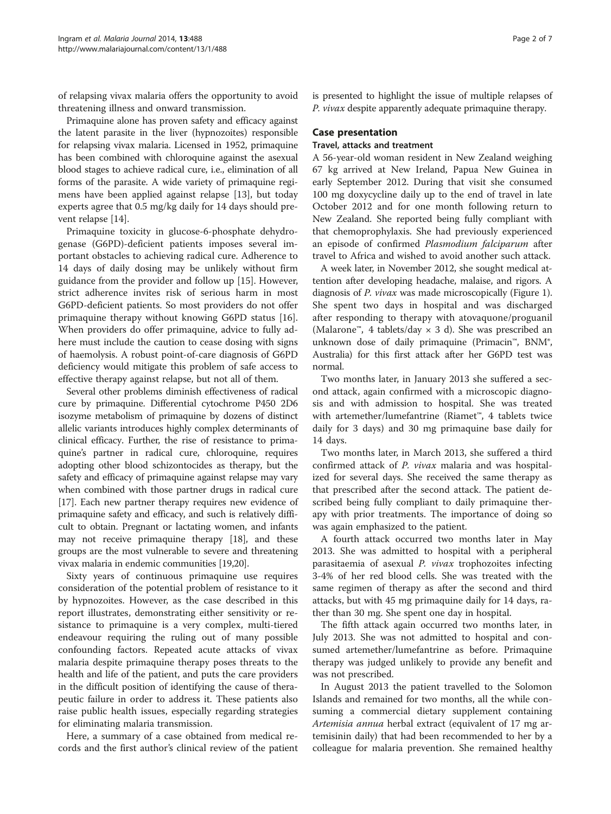of relapsing vivax malaria offers the opportunity to avoid threatening illness and onward transmission.

Primaquine alone has proven safety and efficacy against the latent parasite in the liver (hypnozoites) responsible for relapsing vivax malaria. Licensed in 1952, primaquine has been combined with chloroquine against the asexual blood stages to achieve radical cure, i.e., elimination of all forms of the parasite. A wide variety of primaquine regimens have been applied against relapse [\[13\]](#page-5-0), but today experts agree that 0.5 mg/kg daily for 14 days should prevent relapse [[14\]](#page-5-0).

Primaquine toxicity in glucose-6-phosphate dehydrogenase (G6PD)-deficient patients imposes several important obstacles to achieving radical cure. Adherence to 14 days of daily dosing may be unlikely without firm guidance from the provider and follow up [\[15](#page-5-0)]. However, strict adherence invites risk of serious harm in most G6PD-deficient patients. So most providers do not offer primaquine therapy without knowing G6PD status [\[16](#page-5-0)]. When providers do offer primaquine, advice to fully adhere must include the caution to cease dosing with signs of haemolysis. A robust point-of-care diagnosis of G6PD deficiency would mitigate this problem of safe access to effective therapy against relapse, but not all of them.

Several other problems diminish effectiveness of radical cure by primaquine. Differential cytochrome P450 2D6 isozyme metabolism of primaquine by dozens of distinct allelic variants introduces highly complex determinants of clinical efficacy. Further, the rise of resistance to primaquine's partner in radical cure, chloroquine, requires adopting other blood schizontocides as therapy, but the safety and efficacy of primaquine against relapse may vary when combined with those partner drugs in radical cure [[17](#page-5-0)]. Each new partner therapy requires new evidence of primaquine safety and efficacy, and such is relatively difficult to obtain. Pregnant or lactating women, and infants may not receive primaquine therapy [\[18\]](#page-5-0), and these groups are the most vulnerable to severe and threatening vivax malaria in endemic communities [\[19,20\]](#page-5-0).

Sixty years of continuous primaquine use requires consideration of the potential problem of resistance to it by hypnozoites. However, as the case described in this report illustrates, demonstrating either sensitivity or resistance to primaquine is a very complex, multi-tiered endeavour requiring the ruling out of many possible confounding factors. Repeated acute attacks of vivax malaria despite primaquine therapy poses threats to the health and life of the patient, and puts the care providers in the difficult position of identifying the cause of therapeutic failure in order to address it. These patients also raise public health issues, especially regarding strategies for eliminating malaria transmission.

Here, a summary of a case obtained from medical records and the first author's clinical review of the patient

is presented to highlight the issue of multiple relapses of P. vivax despite apparently adequate primaquine therapy.

# Case presentation

### Travel, attacks and treatment

A 56-year-old woman resident in New Zealand weighing 67 kg arrived at New Ireland, Papua New Guinea in early September 2012. During that visit she consumed 100 mg doxycycline daily up to the end of travel in late October 2012 and for one month following return to New Zealand. She reported being fully compliant with that chemoprophylaxis. She had previously experienced an episode of confirmed Plasmodium falciparum after travel to Africa and wished to avoid another such attack.

A week later, in November 2012, she sought medical attention after developing headache, malaise, and rigors. A diagnosis of P. vivax was made microscopically (Figure [1](#page-2-0)). She spent two days in hospital and was discharged after responding to therapy with atovaquone/proguanil (Malarone™, 4 tablets/day  $\times$  3 d). She was prescribed an unknown dose of daily primaquine (Primacin™, BNM®, Australia) for this first attack after her G6PD test was normal.

Two months later, in January 2013 she suffered a second attack, again confirmed with a microscopic diagnosis and with admission to hospital. She was treated with artemether/lumefantrine (Riamet™, 4 tablets twice daily for 3 days) and 30 mg primaquine base daily for 14 days.

Two months later, in March 2013, she suffered a third confirmed attack of P. vivax malaria and was hospitalized for several days. She received the same therapy as that prescribed after the second attack. The patient described being fully compliant to daily primaquine therapy with prior treatments. The importance of doing so was again emphasized to the patient.

A fourth attack occurred two months later in May 2013. She was admitted to hospital with a peripheral parasitaemia of asexual P. vivax trophozoites infecting 3-4% of her red blood cells. She was treated with the same regimen of therapy as after the second and third attacks, but with 45 mg primaquine daily for 14 days, rather than 30 mg. She spent one day in hospital.

The fifth attack again occurred two months later, in July 2013. She was not admitted to hospital and consumed artemether/lumefantrine as before. Primaquine therapy was judged unlikely to provide any benefit and was not prescribed.

In August 2013 the patient travelled to the Solomon Islands and remained for two months, all the while consuming a commercial dietary supplement containing Artemisia annua herbal extract (equivalent of 17 mg artemisinin daily) that had been recommended to her by a colleague for malaria prevention. She remained healthy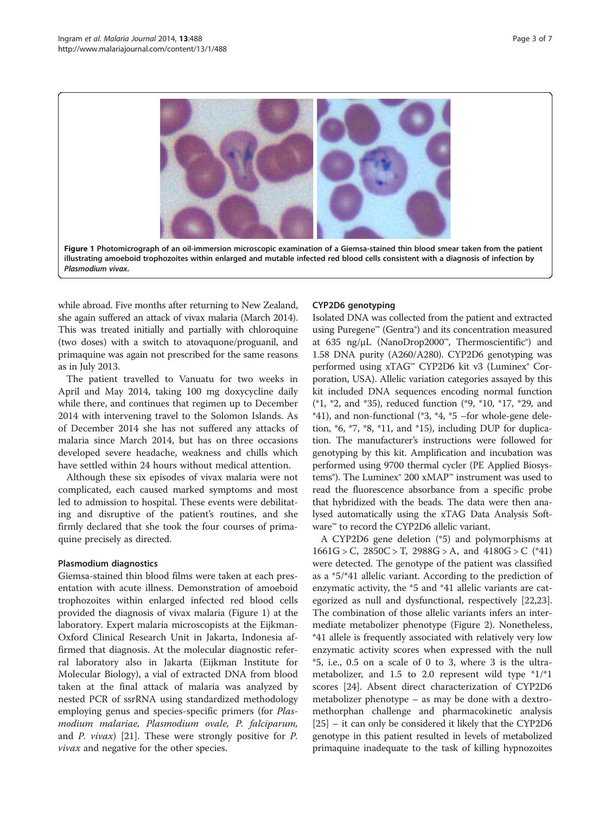<span id="page-2-0"></span>

while abroad. Five months after returning to New Zealand, she again suffered an attack of vivax malaria (March 2014). This was treated initially and partially with chloroquine (two doses) with a switch to atovaquone/proguanil, and primaquine was again not prescribed for the same reasons as in July 2013.

The patient travelled to Vanuatu for two weeks in April and May 2014, taking 100 mg doxycycline daily while there, and continues that regimen up to December 2014 with intervening travel to the Solomon Islands. As of December 2014 she has not suffered any attacks of malaria since March 2014, but has on three occasions developed severe headache, weakness and chills which have settled within 24 hours without medical attention.

Although these six episodes of vivax malaria were not complicated, each caused marked symptoms and most led to admission to hospital. These events were debilitating and disruptive of the patient's routines, and she firmly declared that she took the four courses of primaquine precisely as directed.

#### Plasmodium diagnostics

Giemsa-stained thin blood films were taken at each presentation with acute illness. Demonstration of amoeboid trophozoites within enlarged infected red blood cells provided the diagnosis of vivax malaria (Figure 1) at the laboratory. Expert malaria microscopists at the Eijkman-Oxford Clinical Research Unit in Jakarta, Indonesia affirmed that diagnosis. At the molecular diagnostic referral laboratory also in Jakarta (Eijkman Institute for Molecular Biology), a vial of extracted DNA from blood taken at the final attack of malaria was analyzed by nested PCR of ssrRNA using standardized methodology employing genus and species-specific primers (for *Plas*modium malariae, Plasmodium ovale, P. falciparum, and P. vivax) [\[21\]](#page-5-0). These were strongly positive for P. vivax and negative for the other species.

# CYP2D6 genotyping

Isolated DNA was collected from the patient and extracted using Puregene™ (Gentra®) and its concentration measured at 635 ng/μL (NanoDrop2000™, Thermoscientific®) and 1.58 DNA purity (A260/A280). CYP2D6 genotyping was performed using xTAG<sup>™</sup> CYP2D6 kit v3 (Luminex® Corporation, USA). Allelic variation categories assayed by this kit included DNA sequences encoding normal function (\*1, \*2, and \*35), reduced function (\*9, \*10, \*17, \*29, and \*41), and non-functional (\*3, \*4, \*5 –for whole-gene deletion, \*6, \*7, \*8, \*11, and \*15), including DUP for duplication. The manufacturer's instructions were followed for genotyping by this kit. Amplification and incubation was performed using 9700 thermal cycler (PE Applied Biosystems®). The Luminex® 200 xMAP™ instrument was used to read the fluorescence absorbance from a specific probe that hybridized with the beads. The data were then analysed automatically using the xTAG Data Analysis Software™ to record the CYP2D6 allelic variant.

A CYP2D6 gene deletion (\*5) and polymorphisms at  $1661G > C$ ,  $2850C > T$ ,  $2988G > A$ , and  $4180G > C$  (\*41) were detected. The genotype of the patient was classified as a \*5/\*41 allelic variant. According to the prediction of enzymatic activity, the \*5 and \*41 allelic variants are categorized as null and dysfunctional, respectively [\[22,23](#page-5-0)]. The combination of those allelic variants infers an intermediate metabolizer phenotype (Figure [2](#page-3-0)). Nonetheless, \*41 allele is frequently associated with relatively very low enzymatic activity scores when expressed with the null \*5, i.e., 0.5 on a scale of 0 to 3, where 3 is the ultrametabolizer, and 1.5 to 2.0 represent wild type \*1/\*1 scores [[24\]](#page-5-0). Absent direct characterization of CYP2D6 metabolizer phenotype – as may be done with a dextromethorphan challenge and pharmacokinetic analysis [[25\]](#page-5-0) – it can only be considered it likely that the CYP2D6 genotype in this patient resulted in levels of metabolized primaquine inadequate to the task of killing hypnozoites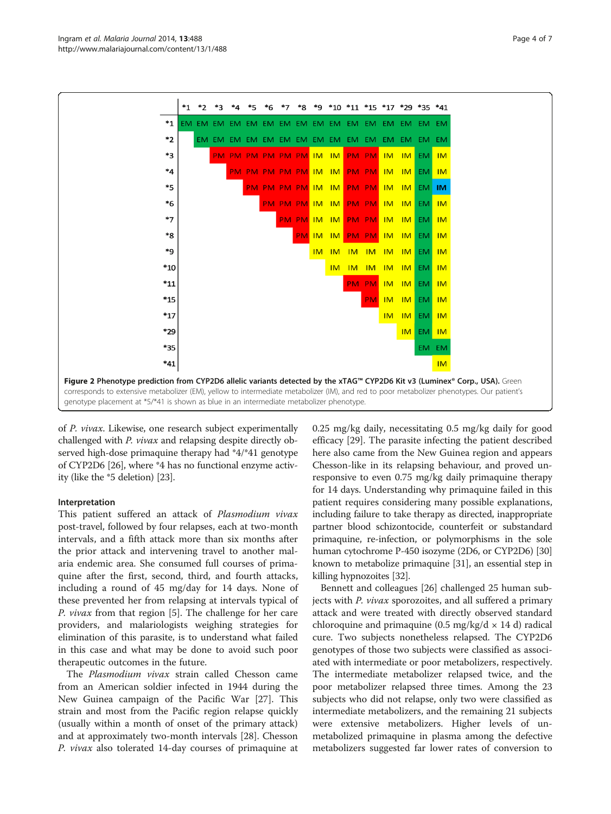<span id="page-3-0"></span>

of P. vivax. Likewise, one research subject experimentally challenged with P. vivax and relapsing despite directly observed high-dose primaquine therapy had \*4/\*41 genotype of CYP2D6 [[26](#page-5-0)], where \*4 has no functional enzyme activity (like the \*5 deletion) [[23](#page-5-0)].

#### Interpretation

This patient suffered an attack of Plasmodium vivax post-travel, followed by four relapses, each at two-month intervals, and a fifth attack more than six months after the prior attack and intervening travel to another malaria endemic area. She consumed full courses of primaquine after the first, second, third, and fourth attacks, including a round of 45 mg/day for 14 days. None of these prevented her from relapsing at intervals typical of P. vivax from that region [[5](#page-5-0)]. The challenge for her care providers, and malariologists weighing strategies for elimination of this parasite, is to understand what failed in this case and what may be done to avoid such poor therapeutic outcomes in the future.

The Plasmodium vivax strain called Chesson came from an American soldier infected in 1944 during the New Guinea campaign of the Pacific War [[27\]](#page-5-0). This strain and most from the Pacific region relapse quickly (usually within a month of onset of the primary attack) and at approximately two-month intervals [[28](#page-5-0)]. Chesson P. vivax also tolerated 14-day courses of primaquine at 0.25 mg/kg daily, necessitating 0.5 mg/kg daily for good efficacy [\[29](#page-5-0)]. The parasite infecting the patient described here also came from the New Guinea region and appears Chesson-like in its relapsing behaviour, and proved unresponsive to even 0.75 mg/kg daily primaquine therapy for 14 days. Understanding why primaquine failed in this patient requires considering many possible explanations, including failure to take therapy as directed, inappropriate partner blood schizontocide, counterfeit or substandard primaquine, re-infection, or polymorphisms in the sole human cytochrome P-450 isozyme (2D6, or CYP2D6) [[30](#page-5-0)] known to metabolize primaquine [\[31](#page-5-0)], an essential step in killing hypnozoites [\[32](#page-5-0)].

Bennett and colleagues [[26](#page-5-0)] challenged 25 human subjects with P. vivax sporozoites, and all suffered a primary attack and were treated with directly observed standard chloroquine and primaquine (0.5 mg/kg/d  $\times$  14 d) radical cure. Two subjects nonetheless relapsed. The CYP2D6 genotypes of those two subjects were classified as associated with intermediate or poor metabolizers, respectively. The intermediate metabolizer relapsed twice, and the poor metabolizer relapsed three times. Among the 23 subjects who did not relapse, only two were classified as intermediate metabolizers, and the remaining 21 subjects were extensive metabolizers. Higher levels of unmetabolized primaquine in plasma among the defective metabolizers suggested far lower rates of conversion to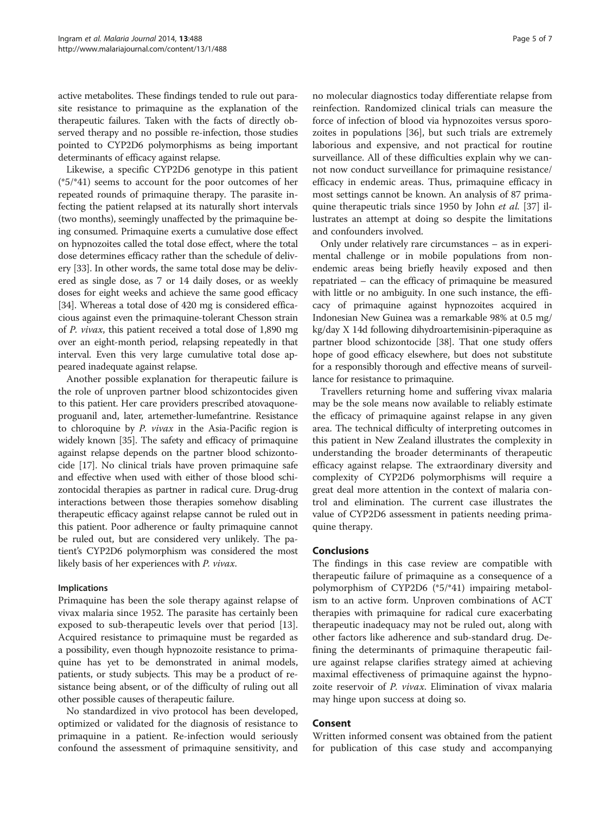active metabolites. These findings tended to rule out parasite resistance to primaquine as the explanation of the therapeutic failures. Taken with the facts of directly observed therapy and no possible re-infection, those studies pointed to CYP2D6 polymorphisms as being important determinants of efficacy against relapse.

Likewise, a specific CYP2D6 genotype in this patient (\*5/\*41) seems to account for the poor outcomes of her repeated rounds of primaquine therapy. The parasite infecting the patient relapsed at its naturally short intervals (two months), seemingly unaffected by the primaquine being consumed. Primaquine exerts a cumulative dose effect on hypnozoites called the total dose effect, where the total dose determines efficacy rather than the schedule of delivery [[33](#page-5-0)]. In other words, the same total dose may be delivered as single dose, as 7 or 14 daily doses, or as weekly doses for eight weeks and achieve the same good efficacy [[34](#page-5-0)]. Whereas a total dose of 420 mg is considered efficacious against even the primaquine-tolerant Chesson strain of P. vivax, this patient received a total dose of 1,890 mg over an eight-month period, relapsing repeatedly in that interval. Even this very large cumulative total dose appeared inadequate against relapse.

Another possible explanation for therapeutic failure is the role of unproven partner blood schizontocides given to this patient. Her care providers prescribed atovaquoneproguanil and, later, artemether-lumefantrine. Resistance to chloroquine by P. vivax in the Asia-Pacific region is widely known [\[35\]](#page-5-0). The safety and efficacy of primaquine against relapse depends on the partner blood schizontocide [\[17\]](#page-5-0). No clinical trials have proven primaquine safe and effective when used with either of those blood schizontocidal therapies as partner in radical cure. Drug-drug interactions between those therapies somehow disabling therapeutic efficacy against relapse cannot be ruled out in this patient. Poor adherence or faulty primaquine cannot be ruled out, but are considered very unlikely. The patient's CYP2D6 polymorphism was considered the most likely basis of her experiences with P. vivax.

#### Implications

Primaquine has been the sole therapy against relapse of vivax malaria since 1952. The parasite has certainly been exposed to sub-therapeutic levels over that period [\[13](#page-5-0)]. Acquired resistance to primaquine must be regarded as a possibility, even though hypnozoite resistance to primaquine has yet to be demonstrated in animal models, patients, or study subjects. This may be a product of resistance being absent, or of the difficulty of ruling out all other possible causes of therapeutic failure.

No standardized in vivo protocol has been developed, optimized or validated for the diagnosis of resistance to primaquine in a patient. Re-infection would seriously confound the assessment of primaquine sensitivity, and

no molecular diagnostics today differentiate relapse from reinfection. Randomized clinical trials can measure the force of infection of blood via hypnozoites versus sporozoites in populations [[36\]](#page-6-0), but such trials are extremely laborious and expensive, and not practical for routine surveillance. All of these difficulties explain why we cannot now conduct surveillance for primaquine resistance/ efficacy in endemic areas. Thus, primaquine efficacy in most settings cannot be known. An analysis of 87 prima-quine therapeutic trials since 1950 by John et al. [[37](#page-6-0)] illustrates an attempt at doing so despite the limitations and confounders involved.

Only under relatively rare circumstances – as in experimental challenge or in mobile populations from nonendemic areas being briefly heavily exposed and then repatriated – can the efficacy of primaquine be measured with little or no ambiguity. In one such instance, the efficacy of primaquine against hypnozoites acquired in Indonesian New Guinea was a remarkable 98% at 0.5 mg/ kg/day X 14d following dihydroartemisinin-piperaquine as partner blood schizontocide [\[38\]](#page-6-0). That one study offers hope of good efficacy elsewhere, but does not substitute for a responsibly thorough and effective means of surveillance for resistance to primaquine.

Travellers returning home and suffering vivax malaria may be the sole means now available to reliably estimate the efficacy of primaquine against relapse in any given area. The technical difficulty of interpreting outcomes in this patient in New Zealand illustrates the complexity in understanding the broader determinants of therapeutic efficacy against relapse. The extraordinary diversity and complexity of CYP2D6 polymorphisms will require a great deal more attention in the context of malaria control and elimination. The current case illustrates the value of CYP2D6 assessment in patients needing primaquine therapy.

# Conclusions

The findings in this case review are compatible with therapeutic failure of primaquine as a consequence of a polymorphism of CYP2D6 (\*5/\*41) impairing metabolism to an active form. Unproven combinations of ACT therapies with primaquine for radical cure exacerbating therapeutic inadequacy may not be ruled out, along with other factors like adherence and sub-standard drug. Defining the determinants of primaquine therapeutic failure against relapse clarifies strategy aimed at achieving maximal effectiveness of primaquine against the hypnozoite reservoir of P. vivax. Elimination of vivax malaria may hinge upon success at doing so.

#### Consent

Written informed consent was obtained from the patient for publication of this case study and accompanying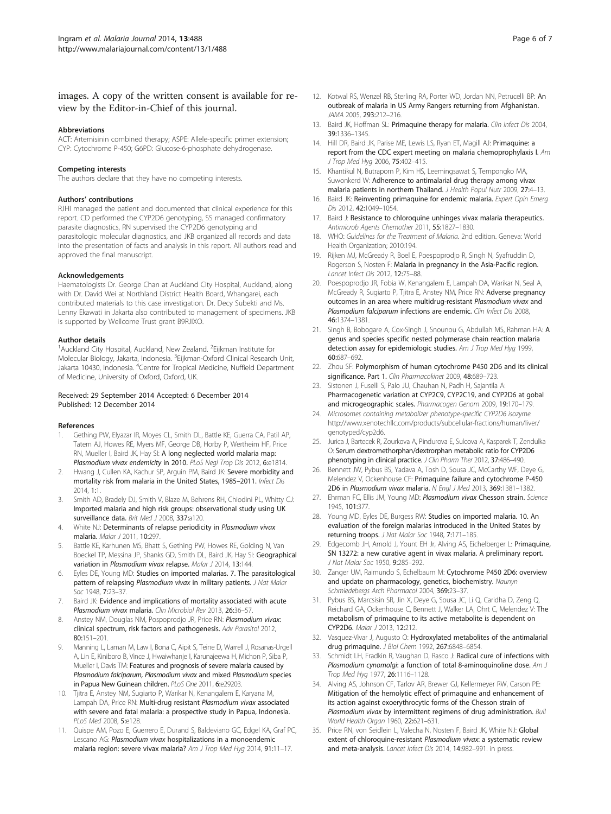# <span id="page-5-0"></span>images. A copy of the written consent is available for review by the Editor-in-Chief of this journal.

#### Abbreviations

ACT: Artemisinin combined therapy; ASPE: Allele-specific primer extension; CYP: Cytochrome P-450; G6PD: Glucose-6-phosphate dehydrogenase.

#### Competing interests

The authors declare that they have no competing interests.

#### Authors' contributions

RJHI managed the patient and documented that clinical experience for this report. CD performed the CYP2D6 genotyping, SS managed confirmatory parasite diagnostics, RN supervised the CYP2D6 genotyping and parasitologic molecular diagnostics, and JKB organized all records and data into the presentation of facts and analysis in this report. All authors read and approved the final manuscript.

#### Acknowledgements

Haematologists Dr. George Chan at Auckland City Hospital, Auckland, along with Dr. David Wei at Northland District Health Board, Whangarei, each contributed materials to this case investigation. Dr. Decy Subekti and Ms. Lenny Ekawati in Jakarta also contributed to management of specimens. JKB is supported by Wellcome Trust grant B9RJIXO.

#### Author details

<sup>1</sup> Auckland City Hospital, Auckland, New Zealand. <sup>2</sup> Eijkman Institute for Molecular Biology, Jakarta, Indonesia. <sup>3</sup>Eijkman-Oxford Clinical Research Unit, Jakarta 10430, Indonesia. <sup>4</sup>Centre for Tropical Medicine, Nuffield Department of Medicine, University of Oxford, Oxford, UK.

#### Received: 29 September 2014 Accepted: 6 December 2014 Published: 12 December 2014

#### References

- 1. Gething PW, Elyazar IR, Moyes CL, Smith DL, Battle KE, Guerra CA, Patil AP, Tatem AJ, Howes RE, Myers MF, George DB, Horby P, Wertheim HF, Price RN, Mueller I, Baird JK, Hay SI: A long neglected world malaria map: Plasmodium vivax endemicity in 2010. PLoS Negl Trop Dis 2012, 6:e1814.
- Hwang J, Cullen KA, Kachur SP, Arguin PM, Baird JK: Severe morbidity and mortality risk from malaria in the United States, 1985–2011. Infect Dis 2014, 1:1.
- 3. Smith AD, Bradely DJ, Smith V, Blaze M, Behrens RH, Chiodini PL, Whitty CJ: Imported malaria and high risk groups: observational study using UK surveillance data. Brit Med J 2008, 337:a120.
- 4. White NJ: Determinants of relapse periodicity in Plasmodium vivax malaria. Malar J 2011, 10:297.
- 5. Battle KE, Karhunen MS, Bhatt S, Gething PW, Howes RE, Golding N, Van Boeckel TP, Messina JP, Shanks GD, Smith DL, Baird JK, Hay SI: Geographical variation in Plasmodium vivax relapse. Malar J 2014, 13:144.
- 6. Eyles DE, Young MD: Studies on imported malarias. 7. The parasitological pattern of relapsing Plasmodium vivax in military patients. J Nat Malar Soc 1948, 7:23–37.
- 7. Baird JK: Evidence and implications of mortality associated with acute Plasmodium vivax malaria. Clin Microbiol Rev 2013, 26:36-57.
- 8. Anstey NM, Douglas NM, Pospoprodjo JR, Price RN: Plasmodium vivax: clinical spectrum, risk factors and pathogenesis. Adv Parasitol 2012, 80:151–201.
- Manning L, Laman M, Law I, Bona C, Aipit S, Teine D, Warrell J, Rosanas-Urgell A, Lin E, Kiniboro B, Vince J, Hwaiwhanje I, Karunajeewa H, Michon P, Siba P, Mueller I, Davis TM: Features and prognosis of severe malaria caused by Plasmodium falciparum, Plasmodium vivax and mixed Plasmodium species in Papua New Guinean children. PLoS One 2011, 6:e29203.
- 10. Tjitra E, Anstey NM, Sugiarto P, Warikar N, Kenangalem E, Karyana M, Lampah DA, Price RN: Multi-drug resistant Plasmodium vivax associated with severe and fatal malaria: a prospective study in Papua, Indonesia. PLoS Med 2008, 5:e128.
- 11. Quispe AM, Pozo E, Guerrero E, Durand S, Baldeviano GC, Edgel KA, Graf PC, Lescano AG: Plasmodium vivax hospitalizations in a monoendemic malaria region: severe vivax malaria? Am J Trop Med Hyg 2014, 91:11-17.
- 12. Kotwal RS, Wenzel RB, Sterling RA, Porter WD, Jordan NN, Petrucelli BP: An outbreak of malaria in US Army Rangers returning from Afghanistan. JAMA 2005, 293:212–216.
- 13. Baird JK, Hoffman SL: Primaquine therapy for malaria. Clin Infect Dis 2004. 39:1336–1345.
- 14. Hill DR, Baird JK, Parise ME, Lewis LS, Ryan ET, Magill AJ: Primaquine: a report from the CDC expert meeting on malaria chemoprophylaxis I. Am J Trop Med Hyg 2006, 75:402–415.
- 15. Khantikul N, Butraporn P, Kim HS, Leemingsawat S, Tempongko MA, Suwonkerd W: Adherence to antimalarial drug therapy among vivax malaria patients in northern Thailand. J Health Popul Nutr 2009, 27:4–13.
- 16. Baird JK: Reinventing primaquine for endemic malaria. Expert Opin Emerg Dis 2012, 42:1049–1054.
- 17. Baird J: Resistance to chloroquine unhinges vivax malaria therapeutics. Antimicrob Agents Chemother 2011, 55:1827-1830.
- 18. WHO: Guidelines for the Treatment of Malaria. 2nd edition. Geneva: World Health Organization; 2010:194.
- 19. Rijken MJ, McGready R, Boel E, Poespoprodjo R, Singh N, Syafruddin D, Rogerson S, Nosten F: Malaria in pregnancy in the Asia-Pacific region. Lancet Infect Dis 2012, 12:75–88.
- 20. Poespoprodjo JR, Fobia W, Kenangalem E, Lampah DA, Warikar N, Seal A, McGready R, Sugiarto P, Tjitra E, Anstey NM, Price RN: Adverse pregnancy outcomes in an area where multidrug-resistant Plasmodium vivax and Plasmodium falciparum infections are endemic. Clin Infect Dis 2008, 46:1374–1381.
- 21. Singh B, Bobogare A, Cox-Singh J, Snounou G, Abdullah MS, Rahman HA: A genus and species specific nested polymerase chain reaction malaria detection assay for epidemiologic studies. Am J Trop Med Hyg 1999, 60:687–692.
- 22. Zhou SF: Polymorphism of human cytochrome P450 2D6 and its clinical significance. Part 1. Clin Pharmacokinet 2009, 48:689-723.
- 23. Sistonen J, Fuselli S, Palo JU, Chauhan N, Padh H, Sajantila A: Pharmacogenetic variation at CYP2C9, CYP2C19, and CYP2D6 at gobal and microgeographic scales. Pharmacogen Genom 2009, 19:170–179.
- 24. Microsomes containing metabolizer phenotype-specific CYP2D6 isozyme. [http://www.xenotechllc.com/products/subcellular-fractions/human/liver/](http://www.xenotechllc.com/products/subcellular-fractions/human/liver/genotyped/cyp2d6) [genotyped/cyp2d6](http://www.xenotechllc.com/products/subcellular-fractions/human/liver/genotyped/cyp2d6).
- 25. Jurica J, Bartecek R, Zourkova A, Pindurova E, Sulcova A, Kasparek T, Zendulka O: Serum dextromethorphan/dextrorphan metabolic ratio for CYP2D6 phenotyping in clinical practice. J Clin Pharm Ther 2012, 37:486-490.
- 26. Bennett JW, Pybus BS, Yadava A, Tosh D, Sousa JC, McCarthy WF, Deye G, Melendez V, Ockenhouse CF: Primaquine failure and cytochrome P-450 2D6 in Plasmodium vivax malaria. N Engl J Med 2013, 369:1381–1382.
- 27. Ehrman FC, Ellis JM, Young MD: Plasmodium vivax Chesson strain. Science 1945, 101:377.
- 28. Young MD, Eyles DE, Burgess RW: Studies on imported malaria. 10. An evaluation of the foreign malarias introduced in the United States by returning troops. J Nat Malar Soc 1948, 7:171–185.
- 29. Edgecomb JH, Arnold J, Yount EH Jr, Alving AS, Eichelberger L: Primaquine, SN 13272: a new curative agent in vivax malaria. A preliminary report. J Nat Malar Soc 1950, 9:285–292.
- 30. Zanger UM, Raimundo S, Echelbaum M: Cytochrome P450 2D6: overview and update on pharmacology, genetics, biochemistry. Naunyn Schmiedebergs Arch Pharmacol 2004, 369:23-37.
- 31. Pybus BS, Marcsisin SR, Jin X, Deye G, Sousa JC, Li Q, Caridha D, Zeng Q, Reichard GA, Ockenhouse C, Bennett J, Walker LA, Ohrt C, Melendez V: The metabolism of primaquine to its active metabolite is dependent on CYP2D6. Malar J 2013, 12:212.
- 32. Vasquez-Vivar J, Augusto O: Hydroxylated metabolites of the antimalarial drug primaquine. J Biol Chem 1992, 267:6848–6854.
- 33. Schmidt LH, Fradkin R, Vaughan D, Rasco J: Radical cure of infections with Plasmodium cynomolgi: a function of total 8-aminoquinoline dose. Am J Trop Med Hyg 1977, 26:1116–1128.
- Alving AS, Johnson CF, Tarlov AR, Brewer GJ, Kellermeyer RW, Carson PE: Mitigation of the hemolytic effect of primaquine and enhancement of its action against exoerythrocytic forms of the Chesson strain of Plasmodium vivax by intermittent regimens of drug administration. Bull World Health Organ 1960, 22:621–631.
- 35. Price RN, von Seidlein L, Valecha N, Nosten F, Baird JK, White NJ: Global extent of chloroquine-resistant Plasmodium vivax: a systematic review and meta-analysis. Lancet Infect Dis 2014, 14:982-991. in press.